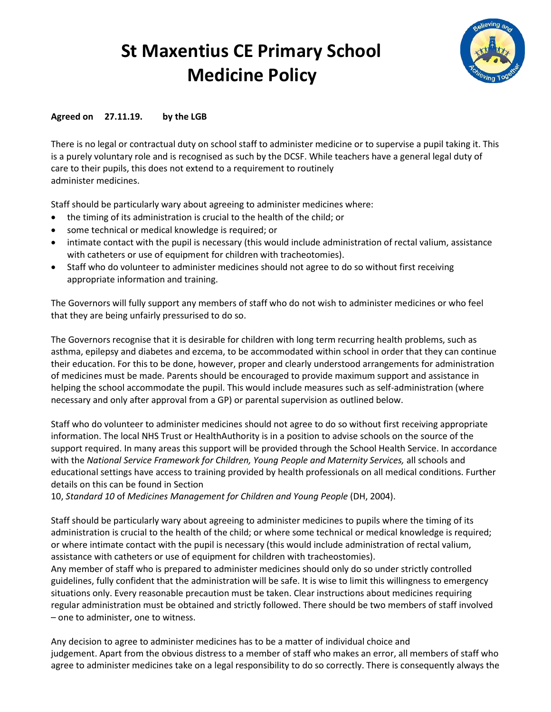## **St Maxentius CE Primary School Medicine Policy**



## **Agreed on 27.11.19. by the LGB**

There is no legal or contractual duty on school staff to administer medicine or to supervise a pupil taking it. This is a purely voluntary role and is recognised as such by the DCSF. While teachers have a general legal duty of care to their pupils, this does not extend to a requirement to routinely administer medicines.

Staff should be particularly wary about agreeing to administer medicines where:

- the timing of its administration is crucial to the health of the child; or
- some technical or medical knowledge is required; or
- intimate contact with the pupil is necessary (this would include administration of rectal valium, assistance with catheters or use of equipment for children with tracheotomies).
- Staff who do volunteer to administer medicines should not agree to do so without first receiving appropriate information and training.

The Governors will fully support any members of staff who do not wish to administer medicines or who feel that they are being unfairly pressurised to do so.

The Governors recognise that it is desirable for children with long term recurring health problems, such as asthma, epilepsy and diabetes and ezcema, to be accommodated within school in order that they can continue their education. For this to be done, however, proper and clearly understood arrangements for administration of medicines must be made. Parents should be encouraged to provide maximum support and assistance in helping the school accommodate the pupil. This would include measures such as self-administration (where necessary and only after approval from a GP) or parental supervision as outlined below.

Staff who do volunteer to administer medicines should not agree to do so without first receiving appropriate information. The local NHS Trust or HealthAuthority is in a position to advise schools on the source of the support required. In many areas this support will be provided through the School Health Service. In accordance with the *National Service Framework for Children, Young People and Maternity Services,* all schools and educational settings have access to training provided by health professionals on all medical conditions. Further details on this can be found in Section

10, *Standard 10* of *Medicines Management for Children and Young People* (DH, 2004).

Staff should be particularly wary about agreeing to administer medicines to pupils where the timing of its administration is crucial to the health of the child; or where some technical or medical knowledge is required; or where intimate contact with the pupil is necessary (this would include administration of rectal valium, assistance with catheters or use of equipment for children with tracheostomies).

Any member of staff who is prepared to administer medicines should only do so under strictly controlled guidelines, fully confident that the administration will be safe. It is wise to limit this willingness to emergency situations only. Every reasonable precaution must be taken. Clear instructions about medicines requiring regular administration must be obtained and strictly followed. There should be two members of staff involved – one to administer, one to witness.

Any decision to agree to administer medicines has to be a matter of individual choice and judgement. Apart from the obvious distress to a member of staff who makes an error, all members of staff who agree to administer medicines take on a legal responsibility to do so correctly. There is consequently always the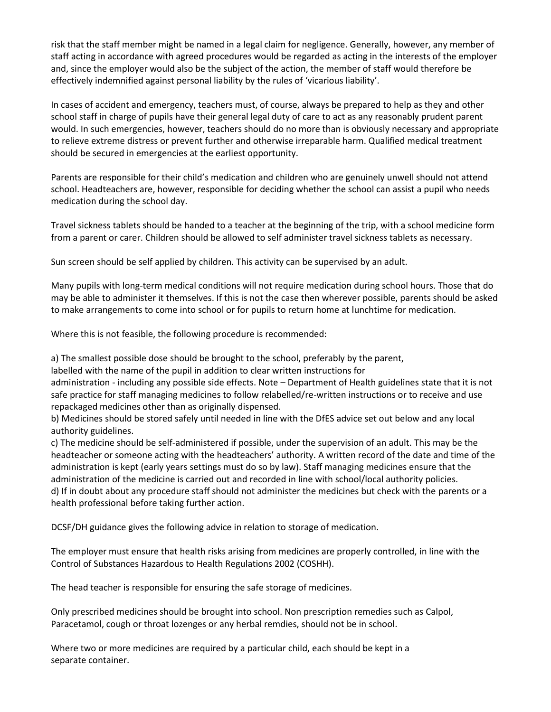risk that the staff member might be named in a legal claim for negligence. Generally, however, any member of staff acting in accordance with agreed procedures would be regarded as acting in the interests of the employer and, since the employer would also be the subject of the action, the member of staff would therefore be effectively indemnified against personal liability by the rules of 'vicarious liability'.

In cases of accident and emergency, teachers must, of course, always be prepared to help as they and other school staff in charge of pupils have their general legal duty of care to act as any reasonably prudent parent would. In such emergencies, however, teachers should do no more than is obviously necessary and appropriate to relieve extreme distress or prevent further and otherwise irreparable harm. Qualified medical treatment should be secured in emergencies at the earliest opportunity.

Parents are responsible for their child's medication and children who are genuinely unwell should not attend school. Headteachers are, however, responsible for deciding whether the school can assist a pupil who needs medication during the school day.

Travel sickness tablets should be handed to a teacher at the beginning of the trip, with a school medicine form from a parent or carer. Children should be allowed to self administer travel sickness tablets as necessary.

Sun screen should be self applied by children. This activity can be supervised by an adult.

Many pupils with long-term medical conditions will not require medication during school hours. Those that do may be able to administer it themselves. If this is not the case then wherever possible, parents should be asked to make arrangements to come into school or for pupils to return home at lunchtime for medication.

Where this is not feasible, the following procedure is recommended:

a) The smallest possible dose should be brought to the school, preferably by the parent,

labelled with the name of the pupil in addition to clear written instructions for

administration - including any possible side effects. Note – Department of Health guidelines state that it is not safe practice for staff managing medicines to follow relabelled/re-written instructions or to receive and use repackaged medicines other than as originally dispensed.

b) Medicines should be stored safely until needed in line with the DfES advice set out below and any local authority guidelines.

c) The medicine should be self-administered if possible, under the supervision of an adult. This may be the headteacher or someone acting with the headteachers' authority. A written record of the date and time of the administration is kept (early years settings must do so by law). Staff managing medicines ensure that the administration of the medicine is carried out and recorded in line with school/local authority policies. d) If in doubt about any procedure staff should not administer the medicines but check with the parents or a health professional before taking further action.

DCSF/DH guidance gives the following advice in relation to storage of medication.

The employer must ensure that health risks arising from medicines are properly controlled, in line with the Control of Substances Hazardous to Health Regulations 2002 (COSHH).

The head teacher is responsible for ensuring the safe storage of medicines.

Only prescribed medicines should be brought into school. Non prescription remedies such as Calpol, Paracetamol, cough or throat lozenges or any herbal remdies, should not be in school.

Where two or more medicines are required by a particular child, each should be kept in a separate container.